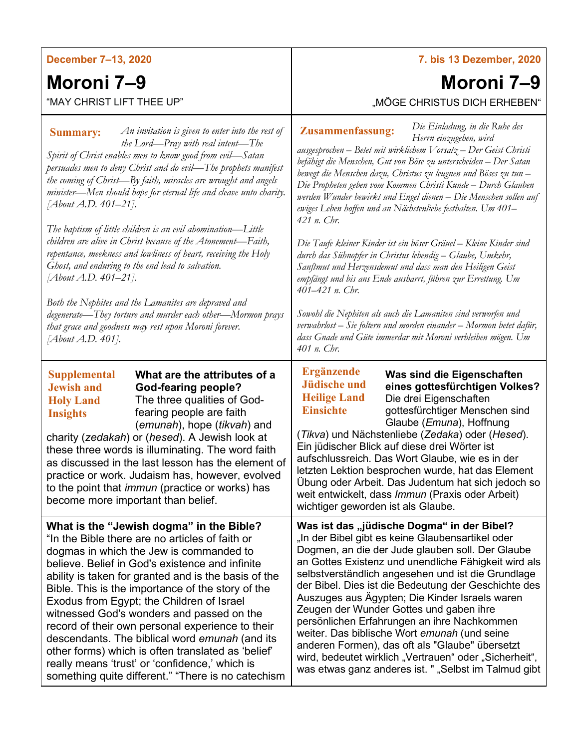| December 7-13, 2020                                                                                                                                                                                                                                                                                                                                                                                                                                                                                                                                                                                                                                                                                                                                                                                                                                                                          | 7. bis 13 Dezember, 2020                                                                                                                                                                                                                                                                                                                                                                                                                                                                                                                                                                                                                                                                                                                                                                                                                                                                                                                                                                                                     |
|----------------------------------------------------------------------------------------------------------------------------------------------------------------------------------------------------------------------------------------------------------------------------------------------------------------------------------------------------------------------------------------------------------------------------------------------------------------------------------------------------------------------------------------------------------------------------------------------------------------------------------------------------------------------------------------------------------------------------------------------------------------------------------------------------------------------------------------------------------------------------------------------|------------------------------------------------------------------------------------------------------------------------------------------------------------------------------------------------------------------------------------------------------------------------------------------------------------------------------------------------------------------------------------------------------------------------------------------------------------------------------------------------------------------------------------------------------------------------------------------------------------------------------------------------------------------------------------------------------------------------------------------------------------------------------------------------------------------------------------------------------------------------------------------------------------------------------------------------------------------------------------------------------------------------------|
| Moroni 7–9                                                                                                                                                                                                                                                                                                                                                                                                                                                                                                                                                                                                                                                                                                                                                                                                                                                                                   | Moroni 7–9                                                                                                                                                                                                                                                                                                                                                                                                                                                                                                                                                                                                                                                                                                                                                                                                                                                                                                                                                                                                                   |
| "MAY CHRIST LIFT THEE UP"                                                                                                                                                                                                                                                                                                                                                                                                                                                                                                                                                                                                                                                                                                                                                                                                                                                                    | "MÖGE CHRISTUS DICH ERHEBEN"                                                                                                                                                                                                                                                                                                                                                                                                                                                                                                                                                                                                                                                                                                                                                                                                                                                                                                                                                                                                 |
| An invitation is given to enter into the rest of<br><b>Summary:</b><br>the Lord—Pray with real intent—The<br>Spirit of Christ enables men to know good from evil-Satan<br>persuades men to deny Christ and do evil—The prophets manifest<br>the coming of Christ-By faith, miracles are wrought and angels<br>minister—Men should hope for eternal life and cleave unto charity.<br>[About A.D. 401-21].<br>The baptism of little children is an evil abomination—Little<br>children are alive in Christ because of the Atonement-Faith,<br>repentance, meekness and lowliness of heart, receiving the Holy<br>Ghost, and enduring to the end lead to salvation.<br>[About A.D. 401–21].<br>Both the Nephites and the Lamanites are depraved and<br>degenerate-They torture and murder each other-Mormon prays<br>that grace and goodness may rest upon Moroni forever.<br>[About A.D. 401]. | Die Einladung, in die Ruhe des<br><b>Zusammenfassung:</b><br>Herrn einzugehen, wird<br>ausgesprochen – Betet mit wirklichem Vorsatz – Der Geist Christi<br>befähigt die Menschen, Gut von Böse zu unterscheiden - Der Satan<br>bewegt die Menschen dazu, Christus zu leugnen und Böses zu tun-<br>Die Propheten geben vom Kommen Christi Kunde - Durch Glauben<br>werden Wunder bewirkt und Engel dienen - Die Menschen sollen auf<br>ewiges Leben hoffen und an Nächstenliebe festhalten. Um 401-<br>421 n. Chr.<br>Die Taufe kleiner Kinder ist ein böser Gräuel - Kleine Kinder sind<br>durch das Sühnopfer in Christus lebendig - Glaube, Umkehr,<br>Sanftmut und Herzensdemut und dass man den Heiligen Geist<br>empfängt und bis ans Ende ausharrt, führen zur Errettung. Um<br>401-421 n. Chr.<br>Sowohl die Nephiten als auch die Lamaniten sind verworfen und<br>verwahrlost – Sie foltern und morden einander – Mormon betet dafür,<br>dass Gnade und Güte immerdar mit Moroni verbleiben mögen. Um<br>401 n. Chr. |
| <b>Supplemental</b><br>What are the attributes of a<br><b>Jewish and</b><br><b>God-fearing people?</b><br>The three qualities of God-<br><b>Holy Land</b><br>fearing people are faith<br><b>Insights</b><br>(emunah), hope (tikvah) and<br>charity (zedakah) or (hesed). A Jewish look at<br>these three words is illuminating. The word faith<br>as discussed in the last lesson has the element of<br>practice or work. Judaism has, however, evolved<br>to the point that <i>immun</i> (practice or works) has<br>become more important than belief.                                                                                                                                                                                                                                                                                                                                      | <b>Ergänzende</b><br>Was sind die Eigenschaften<br><b>Jüdische und</b><br>eines gottesfürchtigen Volkes?<br><b>Heilige Land</b><br>Die drei Eigenschaften<br><b>Einsichte</b><br>gottesfürchtiger Menschen sind<br>Glaube ( <i>Emuna</i> ), Hoffnung<br>( <i>Tikva</i> ) und Nächstenliebe (Zedaka) oder (Hesed).<br>Ein jüdischer Blick auf diese drei Wörter ist<br>aufschlussreich. Das Wort Glaube, wie es in der<br>letzten Lektion besprochen wurde, hat das Element<br>Übung oder Arbeit. Das Judentum hat sich jedoch so<br>weit entwickelt, dass Immun (Praxis oder Arbeit)<br>wichtiger geworden ist als Glaube.                                                                                                                                                                                                                                                                                                                                                                                                   |
| What is the "Jewish dogma" in the Bible?<br>"In the Bible there are no articles of faith or<br>dogmas in which the Jew is commanded to<br>believe. Belief in God's existence and infinite<br>ability is taken for granted and is the basis of the<br>Bible. This is the importance of the story of the<br>Exodus from Egypt; the Children of Israel<br>witnessed God's wonders and passed on the<br>record of their own personal experience to their<br>descendants. The biblical word emunah (and its<br>other forms) which is often translated as 'belief'<br>really means 'trust' or 'confidence,' which is<br>something quite different." "There is no catechism                                                                                                                                                                                                                         | Was ist das "jüdische Dogma" in der Bibel?<br>"In der Bibel gibt es keine Glaubensartikel oder<br>Dogmen, an die der Jude glauben soll. Der Glaube<br>an Gottes Existenz und unendliche Fähigkeit wird als<br>selbstverständlich angesehen und ist die Grundlage<br>der Bibel. Dies ist die Bedeutung der Geschichte des<br>Auszuges aus Ägypten; Die Kinder Israels waren<br>Zeugen der Wunder Gottes und gaben ihre<br>persönlichen Erfahrungen an ihre Nachkommen<br>weiter. Das biblische Wort emunah (und seine<br>anderen Formen), das oft als "Glaube" übersetzt<br>wird, bedeutet wirklich "Vertrauen" oder "Sicherheit",<br>was etwas ganz anderes ist. " "Selbst im Talmud gibt                                                                                                                                                                                                                                                                                                                                    |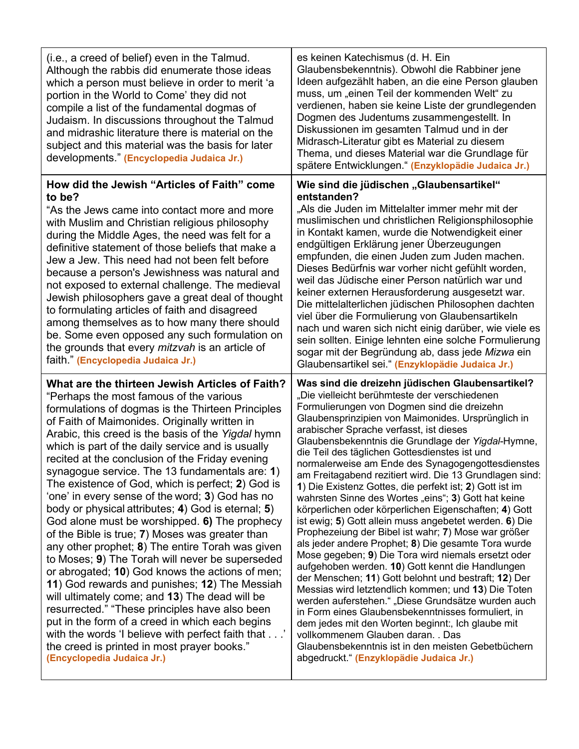| (i.e., a creed of belief) even in the Talmud.<br>Although the rabbis did enumerate those ideas<br>which a person must believe in order to merit 'a<br>portion in the World to Come' they did not<br>compile a list of the fundamental dogmas of<br>Judaism. In discussions throughout the Talmud<br>and midrashic literature there is material on the<br>subject and this material was the basis for later<br>developments." (Encyclopedia Judaica Jr.)                                                                                                                                                                                                                                                                                                                                                                                                                                                                                                                                                                                                                                                                                                                                 | es keinen Katechismus (d. H. Ein<br>Glaubensbekenntnis). Obwohl die Rabbiner jene<br>Ideen aufgezählt haben, an die eine Person glauben<br>muss, um "einen Teil der kommenden Welt" zu<br>verdienen, haben sie keine Liste der grundlegenden<br>Dogmen des Judentums zusammengestellt. In<br>Diskussionen im gesamten Talmud und in der<br>Midrasch-Literatur gibt es Material zu diesem<br>Thema, und dieses Material war die Grundlage für<br>spätere Entwicklungen." (Enzyklopädie Judaica Jr.)                                                                                                                                                                                                                                                                                                                                                                                                                                                                                                                                                                                                                                                                                                                                                                                                                                                           |
|-----------------------------------------------------------------------------------------------------------------------------------------------------------------------------------------------------------------------------------------------------------------------------------------------------------------------------------------------------------------------------------------------------------------------------------------------------------------------------------------------------------------------------------------------------------------------------------------------------------------------------------------------------------------------------------------------------------------------------------------------------------------------------------------------------------------------------------------------------------------------------------------------------------------------------------------------------------------------------------------------------------------------------------------------------------------------------------------------------------------------------------------------------------------------------------------|--------------------------------------------------------------------------------------------------------------------------------------------------------------------------------------------------------------------------------------------------------------------------------------------------------------------------------------------------------------------------------------------------------------------------------------------------------------------------------------------------------------------------------------------------------------------------------------------------------------------------------------------------------------------------------------------------------------------------------------------------------------------------------------------------------------------------------------------------------------------------------------------------------------------------------------------------------------------------------------------------------------------------------------------------------------------------------------------------------------------------------------------------------------------------------------------------------------------------------------------------------------------------------------------------------------------------------------------------------------|
| How did the Jewish "Articles of Faith" come<br>to be?<br>"As the Jews came into contact more and more<br>with Muslim and Christian religious philosophy<br>during the Middle Ages, the need was felt for a<br>definitive statement of those beliefs that make a<br>Jew a Jew. This need had not been felt before<br>because a person's Jewishness was natural and<br>not exposed to external challenge. The medieval<br>Jewish philosophers gave a great deal of thought<br>to formulating articles of faith and disagreed<br>among themselves as to how many there should<br>be. Some even opposed any such formulation on<br>the grounds that every <i>mitzvah</i> is an article of<br>faith." (Encyclopedia Judaica Jr.)                                                                                                                                                                                                                                                                                                                                                                                                                                                             | Wie sind die jüdischen "Glaubensartikel"<br>entstanden?<br>"Als die Juden im Mittelalter immer mehr mit der<br>muslimischen und christlichen Religionsphilosophie<br>in Kontakt kamen, wurde die Notwendigkeit einer<br>endgültigen Erklärung jener Überzeugungen<br>empfunden, die einen Juden zum Juden machen.<br>Dieses Bedürfnis war vorher nicht gefühlt worden,<br>weil das Jüdische einer Person natürlich war und<br>keiner externen Herausforderung ausgesetzt war.<br>Die mittelalterlichen jüdischen Philosophen dachten<br>viel über die Formulierung von Glaubensartikeln<br>nach und waren sich nicht einig darüber, wie viele es<br>sein sollten. Einige lehnten eine solche Formulierung<br>sogar mit der Begründung ab, dass jede Mizwa ein<br>Glaubensartikel sei." (Enzyklopädie Judaica Jr.)                                                                                                                                                                                                                                                                                                                                                                                                                                                                                                                                            |
| What are the thirteen Jewish Articles of Faith?<br>"Perhaps the most famous of the various<br>formulations of dogmas is the Thirteen Principles<br>of Faith of Maimonides. Originally written in<br>Arabic, this creed is the basis of the Yigdal hymn<br>which is part of the daily service and is usually<br>recited at the conclusion of the Friday evening<br>synagogue service. The 13 fundamentals are: 1)<br>The existence of God, which is perfect; 2) God is<br>'one' in every sense of the word; 3) God has no<br>body or physical attributes; 4) God is eternal; 5)<br>God alone must be worshipped. 6) The prophecy<br>of the Bible is true; 7) Moses was greater than<br>any other prophet; 8) The entire Torah was given<br>to Moses; 9) The Torah will never be superseded<br>or abrogated; 10) God knows the actions of men;<br>11) God rewards and punishes; 12) The Messiah<br>will ultimately come; and 13) The dead will be<br>resurrected." "These principles have also been<br>put in the form of a creed in which each begins<br>with the words 'I believe with perfect faith that'<br>the creed is printed in most prayer books."<br>(Encyclopedia Judaica Jr.) | Was sind die dreizehn jüdischen Glaubensartikel?<br>"Die vielleicht berühmteste der verschiedenen<br>Formulierungen von Dogmen sind die dreizehn<br>Glaubensprinzipien von Maimonides. Ursprünglich in<br>arabischer Sprache verfasst, ist dieses<br>Glaubensbekenntnis die Grundlage der Yigdal-Hymne,<br>die Teil des täglichen Gottesdienstes ist und<br>normalerweise am Ende des Synagogengottesdienstes<br>am Freitagabend rezitiert wird. Die 13 Grundlagen sind:<br>1) Die Existenz Gottes, die perfekt ist; 2) Gott ist im<br>wahrsten Sinne des Wortes "eins"; 3) Gott hat keine<br>körperlichen oder körperlichen Eigenschaften; 4) Gott<br>ist ewig; 5) Gott allein muss angebetet werden. 6) Die<br>Prophezeiung der Bibel ist wahr; 7) Mose war größer<br>als jeder andere Prophet; 8) Die gesamte Tora wurde<br>Mose gegeben; 9) Die Tora wird niemals ersetzt oder<br>aufgehoben werden. 10) Gott kennt die Handlungen<br>der Menschen; 11) Gott belohnt und bestraft; 12) Der<br>Messias wird letztendlich kommen; und 13) Die Toten<br>werden auferstehen." "Diese Grundsätze wurden auch<br>in Form eines Glaubensbekenntnisses formuliert, in<br>dem jedes mit den Worten beginnt:, Ich glaube mit<br>vollkommenem Glauben daran. . Das<br>Glaubensbekenntnis ist in den meisten Gebetbüchern<br>abgedruckt." (Enzyklopädie Judaica Jr.) |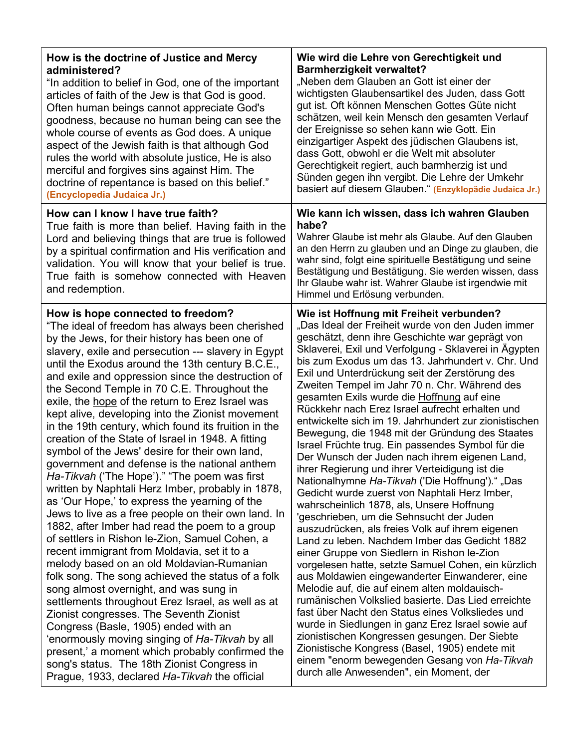| How is the doctrine of Justice and Mercy<br>administered?<br>"In addition to belief in God, one of the important<br>articles of faith of the Jew is that God is good.<br>Often human beings cannot appreciate God's<br>goodness, because no human being can see the<br>whole course of events as God does. A unique<br>aspect of the Jewish faith is that although God<br>rules the world with absolute justice, He is also<br>merciful and forgives sins against Him. The<br>doctrine of repentance is based on this belief."<br>(Encyclopedia Judaica Jr.)                                                                                                                                                                                                                                                                                                                                                                                                                                                                                                                                                                                                                                                                                                                                                                                                                                                                                                                                                                            | Wie wird die Lehre von Gerechtigkeit und<br><b>Barmherzigkeit verwaltet?</b><br>"Neben dem Glauben an Gott ist einer der<br>wichtigsten Glaubensartikel des Juden, dass Gott<br>gut ist. Oft können Menschen Gottes Güte nicht<br>schätzen, weil kein Mensch den gesamten Verlauf<br>der Ereignisse so sehen kann wie Gott. Ein<br>einzigartiger Aspekt des jüdischen Glaubens ist,<br>dass Gott, obwohl er die Welt mit absoluter<br>Gerechtigkeit regiert, auch barmherzig ist und<br>Sünden gegen ihn vergibt. Die Lehre der Umkehr<br>basiert auf diesem Glauben." (Enzyklopädie Judaica Jr.)                                                                                                                                                                                                                                                                                                                                                                                                                                                                                                                                                                                                                                                                                                                                                                                                                                                                                                                                                                                                            |
|-----------------------------------------------------------------------------------------------------------------------------------------------------------------------------------------------------------------------------------------------------------------------------------------------------------------------------------------------------------------------------------------------------------------------------------------------------------------------------------------------------------------------------------------------------------------------------------------------------------------------------------------------------------------------------------------------------------------------------------------------------------------------------------------------------------------------------------------------------------------------------------------------------------------------------------------------------------------------------------------------------------------------------------------------------------------------------------------------------------------------------------------------------------------------------------------------------------------------------------------------------------------------------------------------------------------------------------------------------------------------------------------------------------------------------------------------------------------------------------------------------------------------------------------|--------------------------------------------------------------------------------------------------------------------------------------------------------------------------------------------------------------------------------------------------------------------------------------------------------------------------------------------------------------------------------------------------------------------------------------------------------------------------------------------------------------------------------------------------------------------------------------------------------------------------------------------------------------------------------------------------------------------------------------------------------------------------------------------------------------------------------------------------------------------------------------------------------------------------------------------------------------------------------------------------------------------------------------------------------------------------------------------------------------------------------------------------------------------------------------------------------------------------------------------------------------------------------------------------------------------------------------------------------------------------------------------------------------------------------------------------------------------------------------------------------------------------------------------------------------------------------------------------------------|
| How can I know I have true faith?<br>True faith is more than belief. Having faith in the<br>Lord and believing things that are true is followed<br>by a spiritual confirmation and His verification and<br>validation. You will know that your belief is true.<br>True faith is somehow connected with Heaven<br>and redemption.                                                                                                                                                                                                                                                                                                                                                                                                                                                                                                                                                                                                                                                                                                                                                                                                                                                                                                                                                                                                                                                                                                                                                                                                        | Wie kann ich wissen, dass ich wahren Glauben<br>habe?<br>Wahrer Glaube ist mehr als Glaube. Auf den Glauben<br>an den Herrn zu glauben und an Dinge zu glauben, die<br>wahr sind, folgt eine spirituelle Bestätigung und seine<br>Bestätigung und Bestätigung. Sie werden wissen, dass<br>Ihr Glaube wahr ist. Wahrer Glaube ist irgendwie mit<br>Himmel und Erlösung verbunden.                                                                                                                                                                                                                                                                                                                                                                                                                                                                                                                                                                                                                                                                                                                                                                                                                                                                                                                                                                                                                                                                                                                                                                                                                             |
| How is hope connected to freedom?<br>"The ideal of freedom has always been cherished<br>by the Jews, for their history has been one of<br>slavery, exile and persecution --- slavery in Egypt<br>until the Exodus around the 13th century B.C.E.,<br>and exile and oppression since the destruction of<br>the Second Temple in 70 C.E. Throughout the<br>exile, the hope of the return to Erez Israel was<br>kept alive, developing into the Zionist movement<br>in the 19th century, which found its fruition in the<br>creation of the State of Israel in 1948. A fitting<br>symbol of the Jews' desire for their own land,<br>government and defense is the national anthem<br>Ha-Tikvah ('The Hope')." "The poem was first<br>written by Naphtali Herz Imber, probably in 1878,<br>as 'Our Hope,' to express the yearning of the<br>Jews to live as a free people on their own land. In<br>1882, after Imber had read the poem to a group<br>of settlers in Rishon le-Zion, Samuel Cohen, a<br>recent immigrant from Moldavia, set it to a<br>melody based on an old Moldavian-Rumanian<br>folk song. The song achieved the status of a folk<br>song almost overnight, and was sung in<br>settlements throughout Erez Israel, as well as at<br>Zionist congresses. The Seventh Zionist<br>Congress (Basle, 1905) ended with an<br>'enormously moving singing of Ha-Tikvah by all<br>present,' a moment which probably confirmed the<br>song's status. The 18th Zionist Congress in<br>Prague, 1933, declared Ha-Tikvah the official | Wie ist Hoffnung mit Freiheit verbunden?<br>"Das Ideal der Freiheit wurde von den Juden immer<br>geschätzt, denn ihre Geschichte war geprägt von<br>Sklaverei, Exil und Verfolgung - Sklaverei in Ägypten<br>bis zum Exodus um das 13. Jahrhundert v. Chr. Und<br>Exil und Unterdrückung seit der Zerstörung des<br>Zweiten Tempel im Jahr 70 n. Chr. Während des<br>gesamten Exils wurde die Hoffnung auf eine<br>Rückkehr nach Erez Israel aufrecht erhalten und<br>entwickelte sich im 19. Jahrhundert zur zionistischen<br>Bewegung, die 1948 mit der Gründung des Staates<br>Israel Früchte trug. Ein passendes Symbol für die<br>Der Wunsch der Juden nach ihrem eigenen Land,<br>ihrer Regierung und ihrer Verteidigung ist die<br>Nationalhymne Ha-Tikvah ('Die Hoffnung')." "Das<br>Gedicht wurde zuerst von Naphtali Herz Imber,<br>wahrscheinlich 1878, als, Unsere Hoffnung<br>'geschrieben, um die Sehnsucht der Juden<br>auszudrücken, als freies Volk auf ihrem eigenen<br>Land zu leben. Nachdem Imber das Gedicht 1882<br>einer Gruppe von Siedlern in Rishon le-Zion<br>vorgelesen hatte, setzte Samuel Cohen, ein kürzlich<br>aus Moldawien eingewanderter Einwanderer, eine<br>Melodie auf, die auf einem alten moldauisch-<br>rumänischen Volkslied basierte. Das Lied erreichte<br>fast über Nacht den Status eines Volksliedes und<br>wurde in Siedlungen in ganz Erez Israel sowie auf<br>zionistischen Kongressen gesungen. Der Siebte<br>Zionistische Kongress (Basel, 1905) endete mit<br>einem "enorm bewegenden Gesang von Ha-Tikvah<br>durch alle Anwesenden", ein Moment, der |